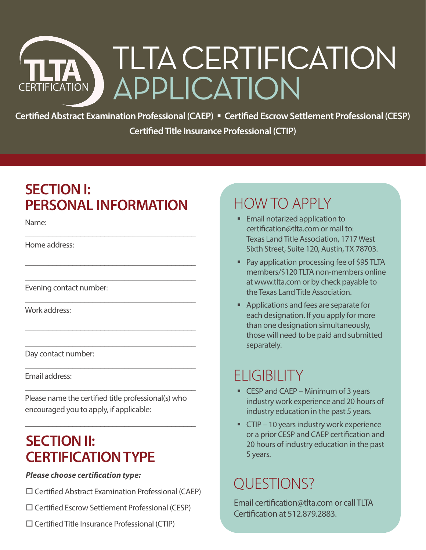# TLTA CERTIFICATION APPLICATION **CERTIFICATION**

Certified Abstract Examination Professional (CAEP) **·** Certified Escrow Settlement Professional (CESP) **Certified Title Insurance Professional (CTIP)**

### **SECTION I: PERSONAL INFORMATION**

\_\_\_\_\_\_\_\_\_\_\_\_\_\_\_\_\_\_\_\_\_\_\_\_\_\_\_\_\_\_\_\_\_\_\_\_\_\_\_\_\_\_\_

\_\_\_\_\_\_\_\_\_\_\_\_\_\_\_\_\_\_\_\_\_\_\_\_\_\_\_\_\_\_\_\_\_\_\_\_\_\_\_\_\_\_\_

\_\_\_\_\_\_\_\_\_\_\_\_\_\_\_\_\_\_\_\_\_\_\_\_\_\_\_\_\_\_\_\_\_\_\_\_\_\_\_\_\_\_\_

\_\_\_\_\_\_\_\_\_\_\_\_\_\_\_\_\_\_\_\_\_\_\_\_\_\_\_\_\_\_\_\_\_\_\_\_\_\_\_\_\_\_\_

\_\_\_\_\_\_\_\_\_\_\_\_\_\_\_\_\_\_\_\_\_\_\_\_\_\_\_\_\_\_\_\_\_\_\_\_\_\_\_\_\_\_\_

\_\_\_\_\_\_\_\_\_\_\_\_\_\_\_\_\_\_\_\_\_\_\_\_\_\_\_\_\_\_\_\_\_\_\_\_\_\_\_\_\_\_\_

\_\_\_\_\_\_\_\_\_\_\_\_\_\_\_\_\_\_\_\_\_\_\_\_\_\_\_\_\_\_\_\_\_\_\_\_\_\_\_\_\_\_\_

\_\_\_\_\_\_\_\_\_\_\_\_\_\_\_\_\_\_\_\_\_\_\_\_\_\_\_\_\_\_\_\_\_\_\_\_\_\_\_\_\_\_\_

\_\_\_\_\_\_\_\_\_\_\_\_\_\_\_\_\_\_\_\_\_\_\_\_\_\_\_\_\_\_\_\_\_\_\_\_\_\_\_\_\_\_\_

Name:

Home address:

Evening contact number:

Work address:

Day contact number:

Email address:

Please name the certified title professional(s) who encouraged you to apply, if applicable:

### **SECTION II: CERTIFICATION TYPE**

#### *Please choose certification type:*

- $\square$  Certified Abstract Examination Professional (CAEP)
- Certified Escrow Settlement Professional (CESP)
- $\square$  Certified Title Insurance Professional (CTIP)

# HOW TO APPLY

- **Email notarized application to** [certification@tlta.com](mailto:certification@tlta.com) or mail to: Texas Land Title Association, 1717 West Sixth Street, Suite 120, Austin, TX 78703.
- **Pay application processing fee of \$95 TLTA** members/\$120 TLTA non-members online at [www.tlta.com](http://www.tlta.com) or by check payable to the Texas Land Title Association.
- **Applications and fees are separate for** each designation. If you apply for more than one designation simultaneously, those will need to be paid and submitted separately.

### **ELIGIBILITY**

- CESP and CAEP Minimum of 3 years industry work experience and 20 hours of industry education in the past 5 years.
- **CTIP** 10 years industry work experience or a prior CESP and CAEP certification and 20 hours of industry education in the past 5 years.

### QUESTIONS?

Email [certification@tlta.com](mailto:certification@tlta.com) or call TLTA Certification at 512.879.2883.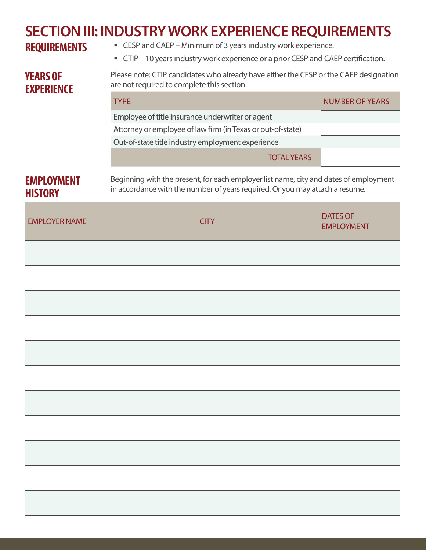# **SECTION III: INDUSTRY WORK EXPERIENCE REQUIREMENTS**

- CESP and CAEP Minimum of 3 years industry work experience.
- CTIP 10 years industry work experience or a prior CESP and CAEP certification.

### **YEARS OF EXPERIENCE**

Please note: CTIP candidates who already have either the CESP or the CAEP designation are not required to complete this section.

| <b>TYPE</b>                                                 | <b>NUMBER OF YEARS</b> |
|-------------------------------------------------------------|------------------------|
| Employee of title insurance underwriter or agent            |                        |
| Attorney or employee of law firm (in Texas or out-of-state) |                        |
| Out-of-state title industry employment experience           |                        |
| <b>TOTAL YEARS</b>                                          |                        |

### **EMPLOYMENT HISTORY**

Beginning with the present, for each employer list name, city and dates of employment in accordance with the number of years required. Or you may attach a resume.

| <b>EMPLOYER NAME</b> | <b>CITY</b> | <b>DATES OF</b><br><b>EMPLOYMENT</b> |
|----------------------|-------------|--------------------------------------|
|                      |             |                                      |
|                      |             |                                      |
|                      |             |                                      |
|                      |             |                                      |
|                      |             |                                      |
|                      |             |                                      |
|                      |             |                                      |
|                      |             |                                      |
|                      |             |                                      |
|                      |             |                                      |
|                      |             |                                      |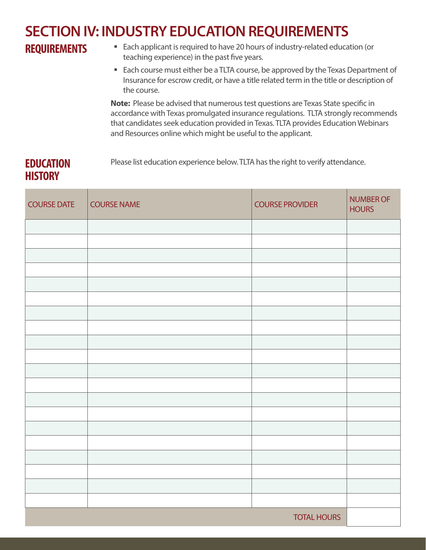# **SECTION IV: INDUSTRY EDUCATION REQUIREMENTS**

### **REQUIREMENTS**

- Each applicant is required to have 20 hours of industry-related education (or teaching experience) in the past five years.
- Each course must either be a TLTA course, be approved by the Texas Department of Insurance for escrow credit, or have a title related term in the title or description of the course.

**Note:** Please be advised that numerous test questions are Texas State specific in accordance with Texas promulgated insurance regulations. TLTA strongly recommends that candidates seek education provided in Texas. TLTA provides Education Webinars and Resources online which might be useful to the applicant.

### **EDUCATION HISTORY**

Please list education experience below. TLTA has the right to verify attendance.

| <b>COURSE DATE</b> | <b>COURSE NAME</b> | <b>COURSE PROVIDER</b> | <b>NUMBER OF</b><br><b>HOURS</b> |
|--------------------|--------------------|------------------------|----------------------------------|
|                    |                    |                        |                                  |
|                    |                    |                        |                                  |
|                    |                    |                        |                                  |
|                    |                    |                        |                                  |
|                    |                    |                        |                                  |
|                    |                    |                        |                                  |
|                    |                    |                        |                                  |
|                    |                    |                        |                                  |
|                    |                    |                        |                                  |
|                    |                    |                        |                                  |
|                    |                    |                        |                                  |
|                    |                    |                        |                                  |
|                    |                    |                        |                                  |
|                    |                    |                        |                                  |
|                    |                    |                        |                                  |
|                    |                    |                        |                                  |
|                    |                    |                        |                                  |
|                    |                    |                        |                                  |
|                    |                    |                        |                                  |
|                    |                    |                        |                                  |
|                    |                    | <b>TOTAL HOURS</b>     |                                  |